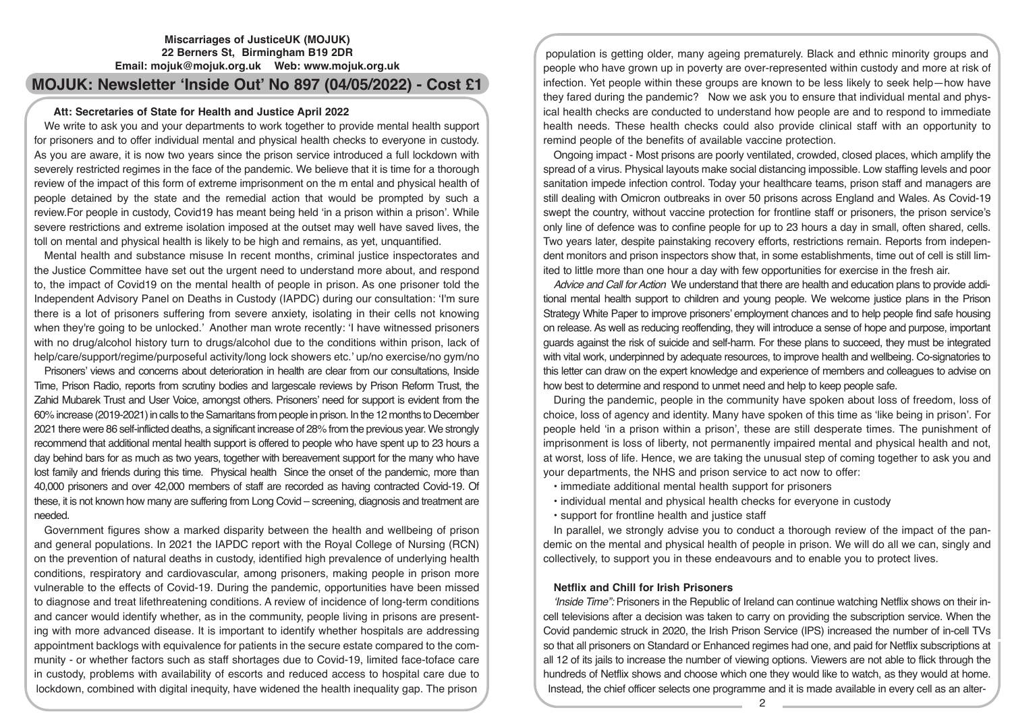# **Miscarriages of JusticeUK (MOJUK) 22 Berners St, Birmingham B19 2DR Email: mojuk@mojuk.org.uk Web: www.mojuk.org.uk**

# **MOJUK: Newsletter 'Inside Out' No 897 (04/05/2022) - Cost £1**

# **Att: Secretaries of State for Health and Justice April 2022**

We write to ask you and your departments to work together to provide mental health support for prisoners and to offer individual mental and physical health checks to everyone in custody. As you are aware, it is now two years since the prison service introduced a full lockdown with severely restricted regimes in the face of the pandemic. We believe that it is time for a thorough review of the impact of this form of extreme imprisonment on the m ental and physical health of people detained by the state and the remedial action that would be prompted by such a review.For people in custody, Covid19 has meant being held 'in a prison within a prison'. While severe restrictions and extreme isolation imposed at the outset may well have saved lives, the toll on mental and physical health is likely to be high and remains, as yet, unquantified.

Mental health and substance misuse In recent months, criminal justice inspectorates and the Justice Committee have set out the urgent need to understand more about, and respond to, the impact of Covid19 on the mental health of people in prison. As one prisoner told the Independent Advisory Panel on Deaths in Custody (IAPDC) during our consultation: 'I'm sure there is a lot of prisoners suffering from severe anxiety, isolating in their cells not knowing when they're going to be unlocked.' Another man wrote recently: 'I have witnessed prisoners with no drug/alcohol history turn to drugs/alcohol due to the conditions within prison, lack of help/care/support/regime/purposeful activity/long lock showers etc.' up/no exercise/no gym/no

Prisoners' views and concerns about deterioration in health are clear from our consultations, Inside Time, Prison Radio, reports from scrutiny bodies and largescale reviews by Prison Reform Trust, the Zahid Mubarek Trust and User Voice, amongst others. Prisoners' need for support is evident from the 60% increase (2019-2021) in calls to the Samaritans from people in prison. In the 12 months to December 2021 there were 86 self-inflicted deaths, a significant increase of 28% from the previous year. We strongly recommend that additional mental health support is offered to people who have spent up to 23 hours a day behind bars for as much as two years, together with bereavement support for the many who have lost family and friends during this time. Physical health Since the onset of the pandemic, more than 40,000 prisoners and over 42,000 members of staff are recorded as having contracted Covid-19. Of these, it is not known how many are suffering from Long Covid – screening, diagnosis and treatment are needed.

Government figures show a marked disparity between the health and wellbeing of prison and general populations. In 2021 the IAPDC report with the Royal College of Nursing (RCN) on the prevention of natural deaths in custody, identified high prevalence of underlying health conditions, respiratory and cardiovascular, among prisoners, making people in prison more vulnerable to the effects of Covid-19. During the pandemic, opportunities have been missed to diagnose and treat lifethreatening conditions. A review of incidence of long-term conditions and cancer would identify whether, as in the community, people living in prisons are presenting with more advanced disease. It is important to identify whether hospitals are addressing appointment backlogs with equivalence for patients in the secure estate compared to the community - or whether factors such as staff shortages due to Covid-19, limited face-toface care in custody, problems with availability of escorts and reduced access to hospital care due to lockdown, combined with digital inequity, have widened the health inequality gap. The prison

population is getting older, many ageing prematurely. Black and ethnic minority groups and people who have grown up in poverty are over-represented within custody and more at risk of infection. Yet people within these groups are known to be less likely to seek help—how have they fared during the pandemic? Now we ask you to ensure that individual mental and physical health checks are conducted to understand how people are and to respond to immediate health needs. These health checks could also provide clinical staff with an opportunity to remind people of the benefits of available vaccine protection.

Ongoing impact - Most prisons are poorly ventilated, crowded, closed places, which amplify the spread of a virus. Physical layouts make social distancing impossible. Low staffing levels and poor sanitation impede infection control. Today your healthcare teams, prison staff and managers are still dealing with Omicron outbreaks in over 50 prisons across England and Wales. As Covid-19 swept the country, without vaccine protection for frontline staff or prisoners, the prison service's only line of defence was to confine people for up to 23 hours a day in small, often shared, cells. Two years later, despite painstaking recovery efforts, restrictions remain. Reports from independent monitors and prison inspectors show that, in some establishments, time out of cell is still limited to little more than one hour a day with few opportunities for exercise in the fresh air.

*Advice and Call for Action* We understand that there are health and education plans to provide additional mental health support to children and young people. We welcome justice plans in the Prison Strategy White Paper to improve prisoners' employment chances and to help people find safe housing on release. As well as reducing reoffending, they will introduce a sense of hope and purpose, important guards against the risk of suicide and self-harm. For these plans to succeed, they must be integrated with vital work, underpinned by adequate resources, to improve health and wellbeing. Co-signatories to this letter can draw on the expert knowledge and experience of members and colleagues to advise on how best to determine and respond to unmet need and help to keep people safe.

During the pandemic, people in the community have spoken about loss of freedom, loss of choice, loss of agency and identity. Many have spoken of this time as 'like being in prison'. For people held 'in a prison within a prison', these are still desperate times. The punishment of imprisonment is loss of liberty, not permanently impaired mental and physical health and not, at worst, loss of life. Hence, we are taking the unusual step of coming together to ask you and your departments, the NHS and prison service to act now to offer:

- immediate additional mental health support for prisoners
- individual mental and physical health checks for everyone in custody
- support for frontline health and justice staff

In parallel, we strongly advise you to conduct a thorough review of the impact of the pandemic on the mental and physical health of people in prison. We will do all we can, singly and collectively, to support you in these endeavours and to enable you to protect lives.

# **Netflix and Chill for Irish Prisoners**

*'Inside Time":* Prisoners in the Republic of Ireland can continue watching Netflix shows on their incell televisions after a decision was taken to carry on providing the subscription service. When the Covid pandemic struck in 2020, the Irish Prison Service (IPS) increased the number of in-cell TVs so that all prisoners on Standard or Enhanced regimes had one, and paid for Netflix subscriptions at all 12 of its jails to increase the number of viewing options. Viewers are not able to flick through the hundreds of Netflix shows and choose which one they would like to watch, as they would at home. Instead, the chief officer selects one programme and it is made available in every cell as an alter-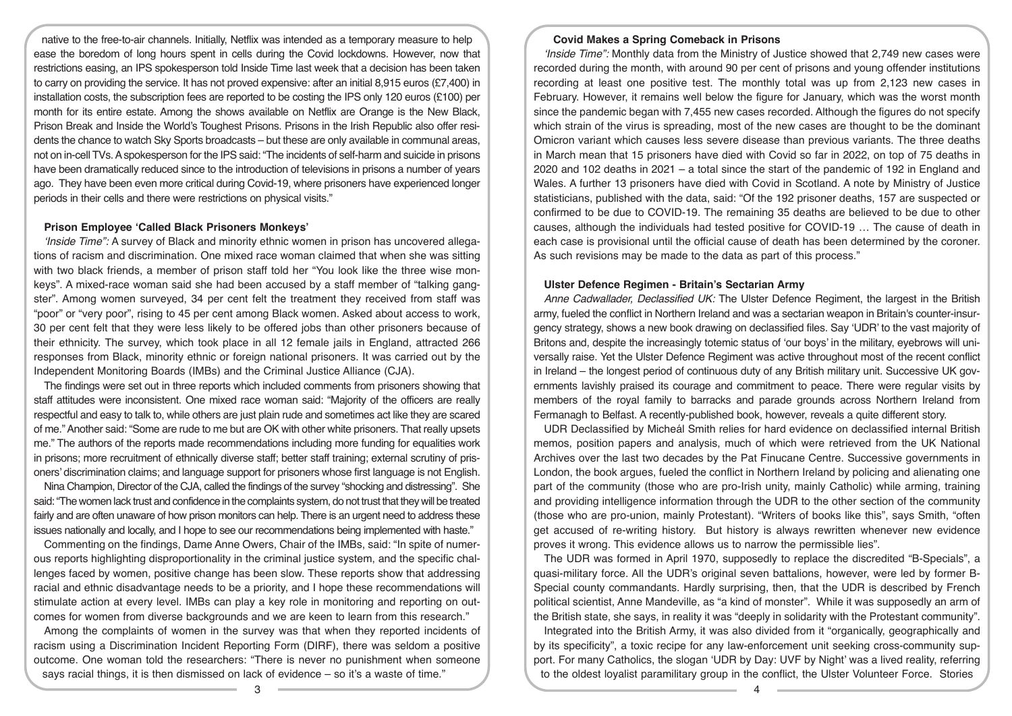native to the free-to-air channels. Initially, Netflix was intended as a temporary measure to help ease the boredom of long hours spent in cells during the Covid lockdowns. However, now that restrictions easing, an IPS spokesperson told Inside Time last week that a decision has been taken to carry on providing the service. It has not proved expensive: after an initial 8,915 euros (£7,400) in installation costs, the subscription fees are reported to be costing the IPS only 120 euros (£100) per month for its entire estate. Among the shows available on Netflix are Orange is the New Black, Prison Break and Inside the World's Toughest Prisons. Prisons in the Irish Republic also offer residents the chance to watch Sky Sports broadcasts – but these are only available in communal areas, not on in-cell TVs. A spokesperson for the IPS said: "The incidents of self-harm and suicide in prisons have been dramatically reduced since to the introduction of televisions in prisons a number of years ago. They have been even more critical during Covid-19, where prisoners have experienced longer periods in their cells and there were restrictions on physical visits."

## **Prison Employee 'Called Black Prisoners Monkeys'**

*'Inside Time":* A survey of Black and minority ethnic women in prison has uncovered allegations of racism and discrimination. One mixed race woman claimed that when she was sitting with two black friends, a member of prison staff told her "You look like the three wise monkeys". A mixed-race woman said she had been accused by a staff member of "talking gangster". Among women surveyed, 34 per cent felt the treatment they received from staff was "poor" or "very poor", rising to 45 per cent among Black women. Asked about access to work, 30 per cent felt that they were less likely to be offered jobs than other prisoners because of their ethnicity. The survey, which took place in all 12 female jails in England, attracted 266 responses from Black, minority ethnic or foreign national prisoners. It was carried out by the Independent Monitoring Boards (IMBs) and the Criminal Justice Alliance (CJA).

The findings were set out in three reports which included comments from prisoners showing that staff attitudes were inconsistent. One mixed race woman said: "Majority of the officers are really respectful and easy to talk to, while others are just plain rude and sometimes act like they are scared of me." Another said: "Some are rude to me but are OK with other white prisoners. That really upsets me." The authors of the reports made recommendations including more funding for equalities work in prisons; more recruitment of ethnically diverse staff; better staff training; external scrutiny of prisoners' discrimination claims; and language support for prisoners whose first language is not English.

Nina Champion, Director of the CJA, called the findings of the survey "shocking and distressing". She said: "The women lack trust and confidence in the complaints system, do not trust that they will be treated fairly and are often unaware of how prison monitors can help. There is an urgent need to address these issues nationally and locally, and I hope to see our recommendations being implemented with haste."

Commenting on the findings, Dame Anne Owers, Chair of the IMBs, said: "In spite of numerous reports highlighting disproportionality in the criminal justice system, and the specific challenges faced by women, positive change has been slow. These reports show that addressing racial and ethnic disadvantage needs to be a priority, and I hope these recommendations will stimulate action at every level. IMBs can play a key role in monitoring and reporting on outcomes for women from diverse backgrounds and we are keen to learn from this research."

Among the complaints of women in the survey was that when they reported incidents of racism using a Discrimination Incident Reporting Form (DIRF), there was seldom a positive outcome. One woman told the researchers: "There is never no punishment when someone says racial things, it is then dismissed on lack of evidence – so it's a waste of time."

#### **Covid Makes a Spring Comeback in Prisons**

*'Inside Time":* Monthly data from the Ministry of Justice showed that 2,749 new cases were recorded during the month, with around 90 per cent of prisons and young offender institutions recording at least one positive test. The monthly total was up from 2,123 new cases in February. However, it remains well below the figure for January, which was the worst month since the pandemic began with 7,455 new cases recorded. Although the figures do not specify which strain of the virus is spreading, most of the new cases are thought to be the dominant Omicron variant which causes less severe disease than previous variants. The three deaths in March mean that 15 prisoners have died with Covid so far in 2022, on top of 75 deaths in 2020 and 102 deaths in 2021 – a total since the start of the pandemic of 192 in England and Wales. A further 13 prisoners have died with Covid in Scotland. A note by Ministry of Justice statisticians, published with the data, said: "Of the 192 prisoner deaths, 157 are suspected or confirmed to be due to COVID-19. The remaining 35 deaths are believed to be due to other causes, although the individuals had tested positive for COVID-19 … The cause of death in each case is provisional until the official cause of death has been determined by the coroner. As such revisions may be made to the data as part of this process."

## **Ulster Defence Regimen - Britain's Sectarian Army**

*Anne Cadwallader, Declassified UK:* The Ulster Defence Regiment, the largest in the British army, fueled the conflict in Northern Ireland and was a sectarian weapon in Britain's counter-insurgency strategy, shows a new book drawing on declassified files. Say 'UDR' to the vast majority of Britons and, despite the increasingly totemic status of 'our boys' in the military, eyebrows will universally raise. Yet the Ulster Defence Regiment was active throughout most of the recent conflict in Ireland – the longest period of continuous duty of any British military unit. Successive UK governments lavishly praised its courage and commitment to peace. There were regular visits by members of the royal family to barracks and parade grounds across Northern Ireland from Fermanagh to Belfast. A recently-published book, however, reveals a quite different story.

UDR Declassified by Micheál Smith relies for hard evidence on declassified internal British memos, position papers and analysis, much of which were retrieved from the UK National Archives over the last two decades by the Pat Finucane Centre. Successive governments in London, the book argues, fueled the conflict in Northern Ireland by policing and alienating one part of the community (those who are pro-Irish unity, mainly Catholic) while arming, training and providing intelligence information through the UDR to the other section of the community (those who are pro-union, mainly Protestant). "Writers of books like this", says Smith, "often get accused of re-writing history. But history is always rewritten whenever new evidence proves it wrong. This evidence allows us to narrow the permissible lies".

The UDR was formed in April 1970, supposedly to replace the discredited "B-Specials", a quasi-military force. All the UDR's original seven battalions, however, were led by former B-Special county commandants. Hardly surprising, then, that the UDR is described by French political scientist, Anne Mandeville, as "a kind of monster". While it was supposedly an arm of the British state, she says, in reality it was "deeply in solidarity with the Protestant community".

Integrated into the British Army, it was also divided from it "organically, geographically and by its specificity", a toxic recipe for any law-enforcement unit seeking cross-community support. For many Catholics, the slogan 'UDR by Day: UVF by Night' was a lived reality, referring to the oldest loyalist paramilitary group in the conflict, the Ulster Volunteer Force. Stories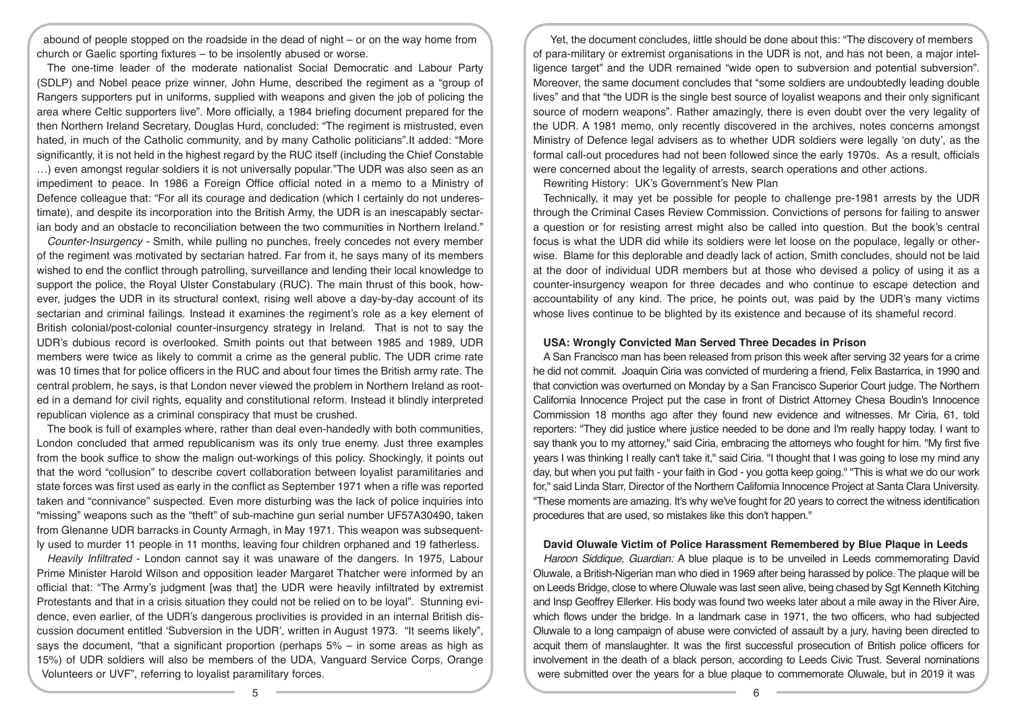abound of people stopped on the roadside in the dead of night – or on the way home from church or Gaelic sporting fixtures – to be insolently abused or worse.

The one-time leader of the moderate nationalist Social Democratic and Labour Party (SDLP) and Nobel peace prize winner, John Hume, described the regiment as a "group of Rangers supporters put in uniforms, supplied with weapons and given the job of policing the area where Celtic supporters live". More officially, a 1984 briefing document prepared for the then Northern Ireland Secretary, Douglas Hurd, concluded: "The regiment is mistrusted, even hated, in much of the Catholic community, and by many Catholic politicians".It added: "More significantly, it is not held in the highest regard by the RUC itself (including the Chief Constable …) even amongst regular soldiers it is not universally popular."The UDR was also seen as an impediment to peace. In 1986 a Foreign Office official noted in a memo to a Ministry of Defence colleague that: "For all its courage and dedication (which I certainly do not underestimate), and despite its incorporation into the British Army, the UDR is an inescapably sectarian body and an obstacle to reconciliation between the two communities in Northern Ireland."

*Counter-Insurgency -* Smith, while pulling no punches, freely concedes not every member of the regiment was motivated by sectarian hatred. Far from it, he says many of its members wished to end the conflict through patrolling, surveillance and lending their local knowledge to support the police, the Royal Ulster Constabulary (RUC). The main thrust of this book, however, judges the UDR in its structural context, rising well above a day-by-day account of its sectarian and criminal failings. Instead it examines the regiment's role as a key element of British colonial/post-colonial counter-insurgency strategy in Ireland. That is not to say the UDR's dubious record is overlooked. Smith points out that between 1985 and 1989, UDR members were twice as likely to commit a crime as the general public. The UDR crime rate was 10 times that for police officers in the RUC and about four times the British army rate. The central problem, he says, is that London never viewed the problem in Northern Ireland as rooted in a demand for civil rights, equality and constitutional reform. Instead it blindly interpreted republican violence as a criminal conspiracy that must be crushed.

The book is full of examples where, rather than deal even-handedly with both communities, London concluded that armed republicanism was its only true enemy. Just three examples from the book suffice to show the malign out-workings of this policy. Shockingly, it points out that the word "collusion" to describe covert collaboration between loyalist paramilitaries and state forces was first used as early in the conflict as September 1971 when a rifle was reported taken and "connivance" suspected. Even more disturbing was the lack of police inquiries into "missing" weapons such as the "theft" of sub-machine gun serial number UF57A30490, taken from Glenanne UDR barracks in County Armagh, in May 1971. This weapon was subsequently used to murder 11 people in 11 months, leaving four children orphaned and 19 fatherless.

*Heavily Infiltrated* - London cannot say it was unaware of the dangers. In 1975, Labour Prime Minister Harold Wilson and opposition leader Margaret Thatcher were informed by an official that: "The Army's judgment [was that] the UDR were heavily infiltrated by extremist Protestants and that in a crisis situation they could not be relied on to be loyal". Stunning evidence, even earlier, of the UDR's dangerous proclivities is provided in an internal British discussion document entitled 'Subversion in the UDR', written in August 1973. "It seems likely", says the document, "that a significant proportion (perhaps  $5\%$  – in some areas as high as 15%) of UDR soldiers will also be members of the UDA, Vanguard Service Corps, Orange Volunteers or UVF", referring to loyalist paramilitary forces.

Yet, the document concludes, little should be done about this: "The discovery of members of para-military or extremist organisations in the UDR is not, and has not been, a major intelligence target" and the UDR remained "wide open to subversion and potential subversion". Moreover, the same document concludes that "some soldiers are undoubtedly leading double lives" and that "the UDR is the single best source of loyalist weapons and their only significant source of modern weapons". Rather amazingly, there is even doubt over the very legality of the UDR. A 1981 memo, only recently discovered in the archives, notes concerns amongst Ministry of Defence legal advisers as to whether UDR soldiers were legally 'on duty', as the formal call-out procedures had not been followed since the early 1970s. As a result, officials were concerned about the legality of arrests, search operations and other actions.

Rewriting History: UK's Government's New Plan

Technically, it may yet be possible for people to challenge pre-1981 arrests by the UDR through the Criminal Cases Review Commission. Convictions of persons for failing to answer a question or for resisting arrest might also be called into question. But the book's central focus is what the UDR did while its soldiers were let loose on the populace, legally or otherwise. Blame for this deplorable and deadly lack of action, Smith concludes, should not be laid at the door of individual UDR members but at those who devised a policy of using it as a counter-insurgency weapon for three decades and who continue to escape detection and accountability of any kind. The price, he points out, was paid by the UDR's many victims whose lives continue to be blighted by its existence and because of its shameful record.

#### **USA: Wrongly Convicted Man Served Three Decades in Prison**

A San Francisco man has been released from prison this week after serving 32 years for a crime he did not commit. Joaquin Ciria was convicted of murdering a friend, Felix Bastarrica, in 1990 and that conviction was overturned on Monday by a San Francisco Superior Court judge. The Northern California Innocence Project put the case in front of District Attorney Chesa Boudin's Innocence Commission 18 months ago after they found new evidence and witnesses. Mr Ciria, 61, told reporters: "They did justice where justice needed to be done and I'm really happy today. I want to say thank you to my attorney," said Ciria, embracing the attorneys who fought for him. "My first five years I was thinking I really can't take it," said Ciria. "I thought that I was going to lose my mind any day, but when you put faith - your faith in God - you gotta keep going." "This is what we do our work for," said Linda Starr, Director of the Northern California Innocence Project at Santa Clara University. "These moments are amazing. It's why we've fought for 20 years to correct the witness identification procedures that are used, so mistakes like this don't happen."

#### **David Oluwale Victim of Police Harassment Remembered by Blue Plaque in Leeds**

*Haroon Siddique, Guardian:* A blue plaque is to be unveiled in Leeds commemorating David Oluwale, a British-Nigerian man who died in 1969 after being harassed by police. The plaque will be on Leeds Bridge, close to where Oluwale was last seen alive, being chased by Sgt Kenneth Kitching and Insp Geoffrey Ellerker. His body was found two weeks later about a mile away in the River Aire, which flows under the bridge. In a landmark case in 1971, the two officers, who had subjected Oluwale to a long campaign of abuse were convicted of assault by a jury, having been directed to acquit them of manslaughter. It was the first successful prosecution of British police officers for involvement in the death of a black person, according to Leeds Civic Trust. Several nominations were submitted over the years for a blue plaque to commemorate Oluwale, but in 2019 it was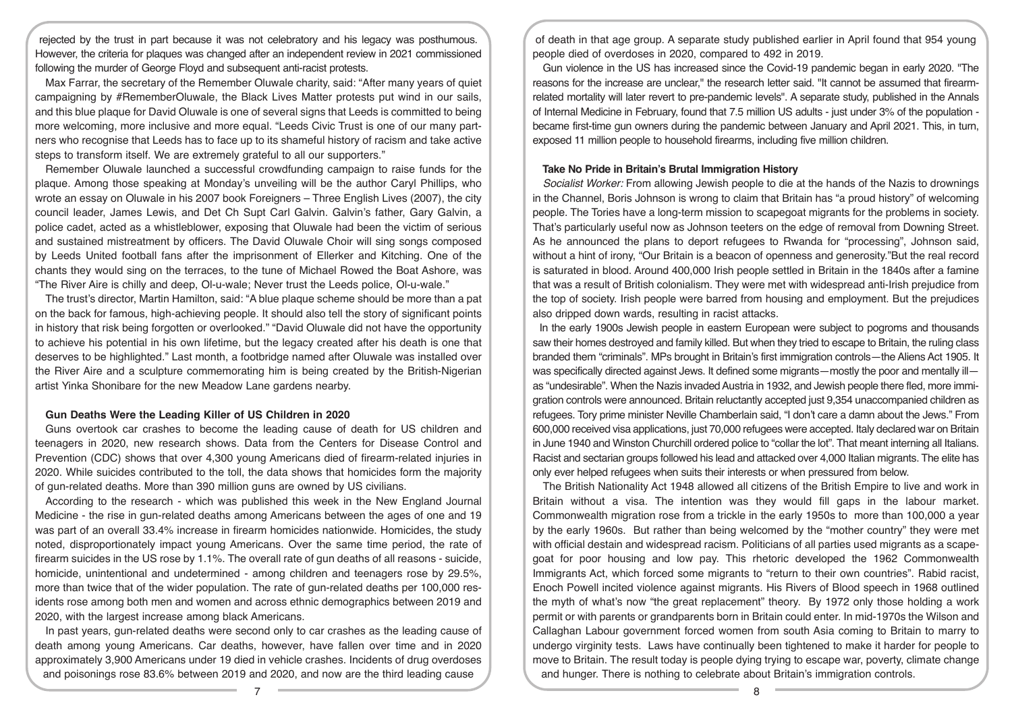rejected by the trust in part because it was not celebratory and his legacy was posthumous. However, the criteria for plaques was changed after an independent review in 2021 commissioned following the murder of George Floyd and subsequent anti-racist protests.

Max Farrar, the secretary of the Remember Oluwale charity, said: "After many years of quiet campaigning by #RememberOluwale, the Black Lives Matter protests put wind in our sails, and this blue plaque for David Oluwale is one of several signs that Leeds is committed to being more welcoming, more inclusive and more equal. "Leeds Civic Trust is one of our many partners who recognise that Leeds has to face up to its shameful history of racism and take active steps to transform itself. We are extremely grateful to all our supporters."

Remember Oluwale launched a successful crowdfunding campaign to raise funds for the plaque. Among those speaking at Monday's unveiling will be the author Caryl Phillips, who wrote an essay on Oluwale in his 2007 book Foreigners – Three English Lives (2007), the city council leader, James Lewis, and Det Ch Supt Carl Galvin. Galvin's father, Gary Galvin, a police cadet, acted as a whistleblower, exposing that Oluwale had been the victim of serious and sustained mistreatment by officers. The David Oluwale Choir will sing songs composed by Leeds United football fans after the imprisonment of Ellerker and Kitching. One of the chants they would sing on the terraces, to the tune of Michael Rowed the Boat Ashore, was "The River Aire is chilly and deep, Ol-u-wale; Never trust the Leeds police, Ol-u-wale."

The trust's director, Martin Hamilton, said: "A blue plaque scheme should be more than a pat on the back for famous, high-achieving people. It should also tell the story of significant points in history that risk being forgotten or overlooked." "David Oluwale did not have the opportunity to achieve his potential in his own lifetime, but the legacy created after his death is one that deserves to be highlighted." Last month, a footbridge named after Oluwale was installed over the River Aire and a sculpture commemorating him is being created by the British-Nigerian artist Yinka Shonibare for the new Meadow Lane gardens nearby.

#### **Gun Deaths Were the Leading Killer of US Children in 2020**

Guns overtook car crashes to become the leading cause of death for US children and teenagers in 2020, new research shows. Data from the Centers for Disease Control and Prevention (CDC) shows that over 4,300 young Americans died of firearm-related injuries in 2020. While suicides contributed to the toll, the data shows that homicides form the majority of gun-related deaths. More than 390 million guns are owned by US civilians.

According to the research - which was published this week in the New England Journal Medicine - the rise in gun-related deaths among Americans between the ages of one and 19 was part of an overall 33.4% increase in firearm homicides nationwide. Homicides, the study noted, disproportionately impact young Americans. Over the same time period, the rate of firearm suicides in the US rose by 1.1%. The overall rate of gun deaths of all reasons - suicide, homicide, unintentional and undetermined - among children and teenagers rose by 29.5%, more than twice that of the wider population. The rate of gun-related deaths per 100,000 residents rose among both men and women and across ethnic demographics between 2019 and 2020, with the largest increase among black Americans.

In past years, gun-related deaths were second only to car crashes as the leading cause of death among young Americans. Car deaths, however, have fallen over time and in 2020 approximately 3,900 Americans under 19 died in vehicle crashes. Incidents of drug overdoses and poisonings rose 83.6% between 2019 and 2020, and now are the third leading cause

of death in that age group. A separate study published earlier in April found that 954 young people died of overdoses in 2020, compared to 492 in 2019.

Gun violence in the US has increased since the Covid-19 pandemic began in early 2020. "The reasons for the increase are unclear," the research letter said. "It cannot be assumed that firearmrelated mortality will later revert to pre-pandemic levels". A separate study, published in the Annals of Internal Medicine in February, found that 7.5 million US adults - just under 3% of the population became first-time gun owners during the pandemic between January and April 2021. This, in turn, exposed 11 million people to household firearms, including five million children.

#### **Take No Pride in Britain's Brutal Immigration History**

*Socialist Worker:* From allowing Jewish people to die at the hands of the Nazis to drownings in the Channel, Boris Johnson is wrong to claim that Britain has "a proud history" of welcoming people. The Tories have a long-term mission to scapegoat migrants for the problems in society. That's particularly useful now as Johnson teeters on the edge of removal from Downing Street. As he announced the plans to deport refugees to Rwanda for "processing", Johnson said, without a hint of irony, "Our Britain is a beacon of openness and generosity."But the real record is saturated in blood. Around 400,000 Irish people settled in Britain in the 1840s after a famine that was a result of British colonialism. They were met with widespread anti-Irish prejudice from the top of society. Irish people were barred from housing and employment. But the prejudices also dripped down wards, resulting in racist attacks.

In the early 1900s Jewish people in eastern European were subject to pogroms and thousands saw their homes destroyed and family killed. But when they tried to escape to Britain, the ruling class branded them "criminals". MPs brought in Britain's first immigration controls—the Aliens Act 1905. It was specifically directed against Jews. It defined some migrants—mostly the poor and mentally ill as "undesirable". When the Nazis invaded Austria in 1932, and Jewish people there fled, more immigration controls were announced. Britain reluctantly accepted just 9,354 unaccompanied children as refugees. Tory prime minister Neville Chamberlain said, "I don't care a damn about the Jews." From 600,000 received visa applications, just 70,000 refugees were accepted. Italy declared war on Britain in June 1940 and Winston Churchill ordered police to "collar the lot". That meant interning all Italians. Racist and sectarian groups followed his lead and attacked over 4,000 Italian migrants. The elite has only ever helped refugees when suits their interests or when pressured from below.

The British Nationality Act 1948 allowed all citizens of the British Empire to live and work in Britain without a visa. The intention was they would fill gaps in the labour market. Commonwealth migration rose from a trickle in the early 1950s to more than 100,000 a year by the early 1960s. But rather than being welcomed by the "mother country" they were met with official destain and widespread racism. Politicians of all parties used migrants as a scapegoat for poor housing and low pay. This rhetoric developed the 1962 Commonwealth Immigrants Act, which forced some migrants to "return to their own countries". Rabid racist, Enoch Powell incited violence against migrants. His Rivers of Blood speech in 1968 outlined the myth of what's now "the great replacement" theory. By 1972 only those holding a work permit or with parents or grandparents born in Britain could enter. In mid-1970s the Wilson and Callaghan Labour government forced women from south Asia coming to Britain to marry to undergo virginity tests. Laws have continually been tightened to make it harder for people to move to Britain. The result today is people dying trying to escape war, poverty, climate change and hunger. There is nothing to celebrate about Britain's immigration controls.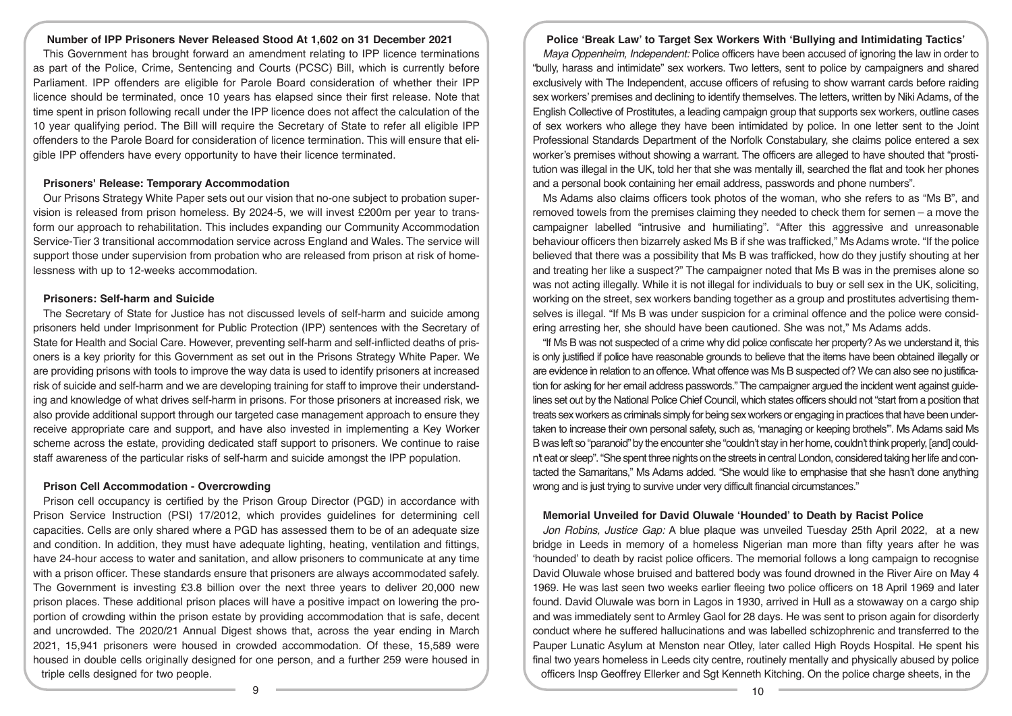## **Number of IPP Prisoners Never Released Stood At 1,602 on 31 December 2021**

This Government has brought forward an amendment relating to IPP licence terminations as part of the Police, Crime, Sentencing and Courts (PCSC) Bill, which is currently before Parliament. IPP offenders are eligible for Parole Board consideration of whether their IPP licence should be terminated, once 10 years has elapsed since their first release. Note that time spent in prison following recall under the IPP licence does not affect the calculation of the 10 year qualifying period. The Bill will require the Secretary of State to refer all eligible IPP offenders to the Parole Board for consideration of licence termination. This will ensure that eligible IPP offenders have every opportunity to have their licence terminated.

#### **Prisoners' Release: Temporary Accommodation**

Our Prisons Strategy White Paper sets out our vision that no-one subject to probation supervision is released from prison homeless. By 2024-5, we will invest £200m per year to transform our approach to rehabilitation. This includes expanding our Community Accommodation Service-Tier 3 transitional accommodation service across England and Wales. The service will support those under supervision from probation who are released from prison at risk of homelessness with up to 12-weeks accommodation.

## **Prisoners: Self-harm and Suicide**

The Secretary of State for Justice has not discussed levels of self-harm and suicide among prisoners held under Imprisonment for Public Protection (IPP) sentences with the Secretary of State for Health and Social Care. However, preventing self-harm and self-inflicted deaths of prisoners is a key priority for this Government as set out in the Prisons Strategy White Paper. We are providing prisons with tools to improve the way data is used to identify prisoners at increased risk of suicide and self-harm and we are developing training for staff to improve their understanding and knowledge of what drives self-harm in prisons. For those prisoners at increased risk, we also provide additional support through our targeted case management approach to ensure they receive appropriate care and support, and have also invested in implementing a Key Worker scheme across the estate, providing dedicated staff support to prisoners. We continue to raise staff awareness of the particular risks of self-harm and suicide amongst the IPP population.

#### **Prison Cell Accommodation - Overcrowding**

Prison cell occupancy is certified by the Prison Group Director (PGD) in accordance with Prison Service Instruction (PSI) 17/2012, which provides guidelines for determining cell capacities. Cells are only shared where a PGD has assessed them to be of an adequate size and condition. In addition, they must have adequate lighting, heating, ventilation and fittings, have 24-hour access to water and sanitation, and allow prisoners to communicate at any time with a prison officer. These standards ensure that prisoners are always accommodated safely. The Government is investing £3.8 billion over the next three years to deliver 20,000 new prison places. These additional prison places will have a positive impact on lowering the proportion of crowding within the prison estate by providing accommodation that is safe, decent and uncrowded. The 2020/21 Annual Digest shows that, across the year ending in March 2021, 15,941 prisoners were housed in crowded accommodation. Of these, 15,589 were housed in double cells originally designed for one person, and a further 259 were housed in triple cells designed for two people.

# **Police 'Break Law' to Target Sex Workers With 'Bullying and Intimidating Tactics'**

*Maya Oppenheim, Independent:* Police officers have been accused of ignoring the law in order to "bully, harass and intimidate" sex workers. Two letters, sent to police by campaigners and shared exclusively with The Independent, accuse officers of refusing to show warrant cards before raiding sex workers' premises and declining to identify themselves. The letters, written by Niki Adams, of the English Collective of Prostitutes, a leading campaign group that supports sex workers, outline cases of sex workers who allege they have been intimidated by police. In one letter sent to the Joint Professional Standards Department of the Norfolk Constabulary, she claims police entered a sex worker's premises without showing a warrant. The officers are alleged to have shouted that "prostitution was illegal in the UK, told her that she was mentally ill, searched the flat and took her phones and a personal book containing her email address, passwords and phone numbers".

Ms Adams also claims officers took photos of the woman, who she refers to as "Ms B", and removed towels from the premises claiming they needed to check them for semen – a move the campaigner labelled "intrusive and humiliating". "After this aggressive and unreasonable behaviour officers then bizarrely asked Ms B if she was trafficked," Ms Adams wrote. "If the police believed that there was a possibility that Ms B was trafficked, how do they justify shouting at her and treating her like a suspect?" The campaigner noted that Ms B was in the premises alone so was not acting illegally. While it is not illegal for individuals to buy or sell sex in the UK, soliciting, working on the street, sex workers banding together as a group and prostitutes advertising themselves is illegal. "If Ms B was under suspicion for a criminal offence and the police were considering arresting her, she should have been cautioned. She was not," Ms Adams adds.

"If Ms B was not suspected of a crime why did police confiscate her property? As we understand it, this is only justified if police have reasonable grounds to believe that the items have been obtained illegally or are evidence in relation to an offence. What offence was Ms B suspected of? We can also see no justification for asking for her email address passwords." The campaigner argued the incident went against guidelines set out by the National Police Chief Council, which states officers should not "start from a position that treats sex workers as criminals simply for being sex workers or engaging in practices that have been undertaken to increase their own personal safety, such as, 'managing or keeping brothels'". Ms Adams said Ms B was left so "paranoid" by the encounter she "couldn't stay in her home, couldn't think properly, [and] couldn't eat or sleep". "She spent three nights on the streets in central London, considered taking her life and contacted the Samaritans," Ms Adams added. "She would like to emphasise that she hasn't done anything wrong and is just trying to survive under very difficult financial circumstances."

# **Memorial Unveiled for David Oluwale 'Hounded' to Death by Racist Police**

*Jon Robins, Justice Gap:* A blue plaque was unveiled Tuesday 25th April 2022, at a new bridge in Leeds in memory of a homeless Nigerian man more than fifty years after he was 'hounded' to death by racist police officers. The memorial follows a long campaign to recognise David Oluwale whose bruised and battered body was found drowned in the River Aire on May 4 1969. He was last seen two weeks earlier fleeing two police officers on 18 April 1969 and later found. David Oluwale was born in Lagos in 1930, arrived in Hull as a stowaway on a cargo ship and was immediately sent to Armley Gaol for 28 days. He was sent to prison again for disorderly conduct where he suffered hallucinations and was labelled schizophrenic and transferred to the Pauper Lunatic Asylum at Menston near Otley, later called High Royds Hospital. He spent his final two years homeless in Leeds city centre, routinely mentally and physically abused by police officers Insp Geoffrey Ellerker and Sgt Kenneth Kitching. On the police charge sheets, in the